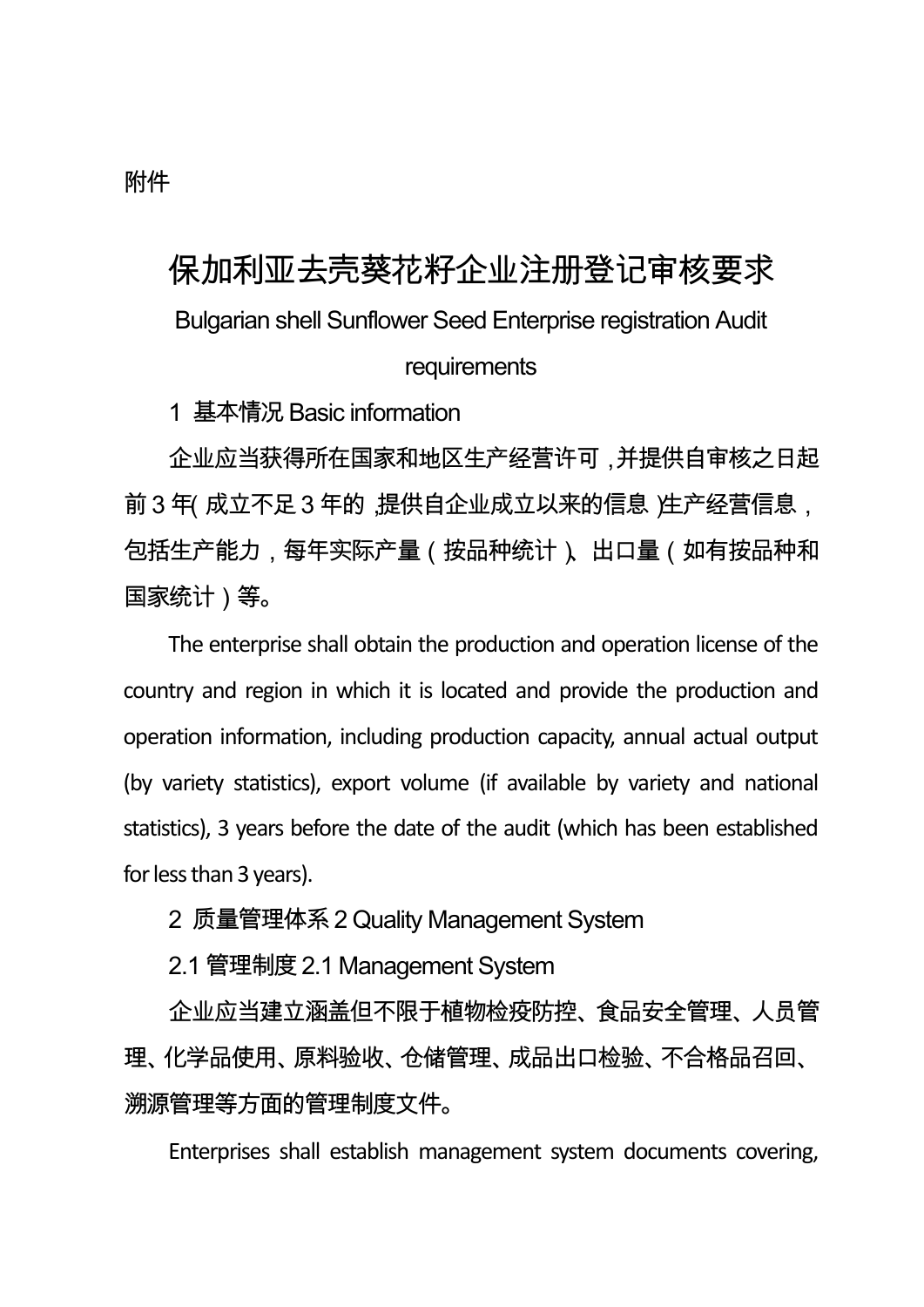## 附件

## 保加利亚去壳葵花籽企业注册登记审核要求

Bulgarian shell Sunflower Seed Enterprise registration Audit

requirements

1 基本情况 Basic information

企业应当获得所在国家和地区生产经营许可,并提供自审核之日起 前3年(成立不足3年的,提供自企业成立以来的信息)生产经营信息, 包括生产能力,每年实际产量(按品种统计)、出口量(如有按品种和 国家统计)等。

The enterprise shall obtain the production and operation license of the country and region in which it is located and provide the production and operation information, including production capacity, annual actual output (by variety statistics), export volume (if available by variety and national statistics), 3 years before the date of the audit (which has been established for less than 3 years).

2 质量管理体系2 Quality Management System

2.1 管理制度2.1 Management System

企业应当建立涵盖但不限于植物检疫防控、食品安全管理、人员管 理、化学品使用、原料验收、仓储管理、成品出口检验、不合格品召回、 溯源管理等方面的管理制度文件。

Enterprises shall establish management system documents covering,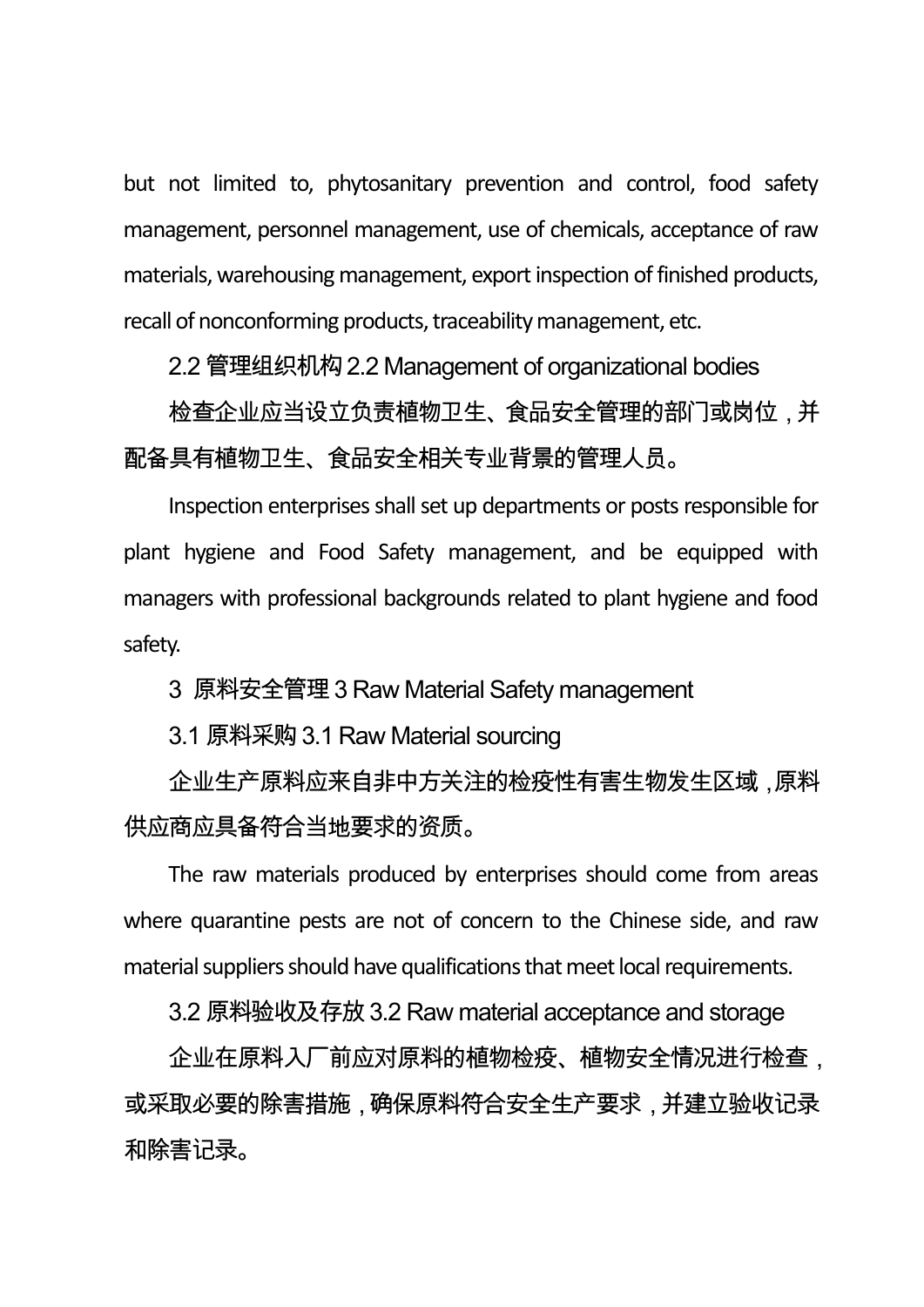but not limited to, phytosanitary prevention and control, food safety management, personnel management, use of chemicals, acceptance of raw materials, warehousing management, export inspection of finished products, recall of nonconforming products, traceability management, etc.

2.2 管理组织机构2.2 Management of organizational bodies

检查企业应当设立负责植物卫生、食品安全管理的部门或岗位,并 配备具有植物卫生、食品安全相关专业背景的管理人员。

Inspection enterprises shall set up departments or posts responsible for plant hygiene and Food Safety management, and be equipped with managers with professional backgrounds related to plant hygiene and food safety.

3 原料安全管理3 Raw Material Safety management

3.1 原料采购3.1 Raw Material sourcing

企业生产原料应来自非中方关注的检疫性有害生物发生区域,原料 供应商应具备符合当地要求的资质。

The raw materials produced by enterprises should come from areas where quarantine pests are not of concern to the Chinese side, and raw material suppliers should have qualifications that meet local requirements.

3.2 原料验收及存放3.2 Raw material acceptance and storage

企业在原料入厂前应对原料的植物检疫、植物安全情况进行检查, 或采取必要的除害措施,确保原料符合安全生产要求,并建立验收记录 和除害记录。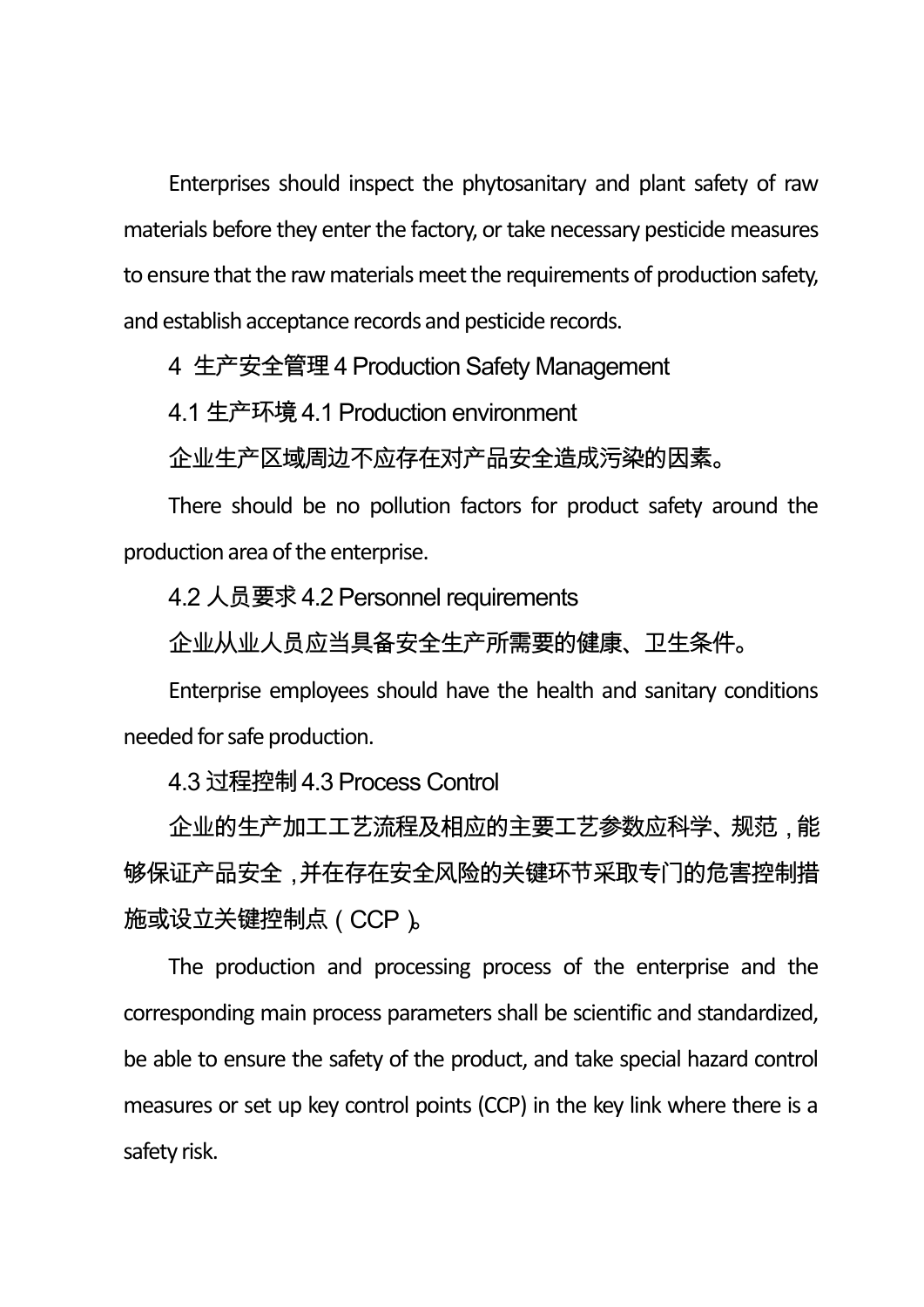Enterprises should inspect the phytosanitary and plant safety of raw materials before they enter the factory, or take necessary pesticide measures to ensure that the raw materials meet the requirements of production safety, and establish acceptance records and pesticide records.

4 生产安全管理4 Production Safety Management

4.1 生产环境4.1 Production environment

企业生产区域周边不应存在对产品安全造成污染的因素。

There should be no pollution factors for product safety around the production area of the enterprise.

4.2 人员要求4.2 Personnel requirements

企业从业人员应当具备安全生产所需要的健康、卫生条件。

Enterprise employees should have the health and sanitary conditions needed for safe production.

4.3 过程控制4.3 Process Control

企业的生产加工工艺流程及相应的主要工艺参数应科学、规范,能 够保证产品安全,并在存在安全风险的关键环节采取专门的危害控制措 施或设立关键控制点(CCP)。

The production and processing process of the enterprise and the corresponding main process parameters shall be scientific and standardized, be able to ensure the safety of the product, and take special hazard control measures or set up key control points (CCP) in the key link where there is a safety risk.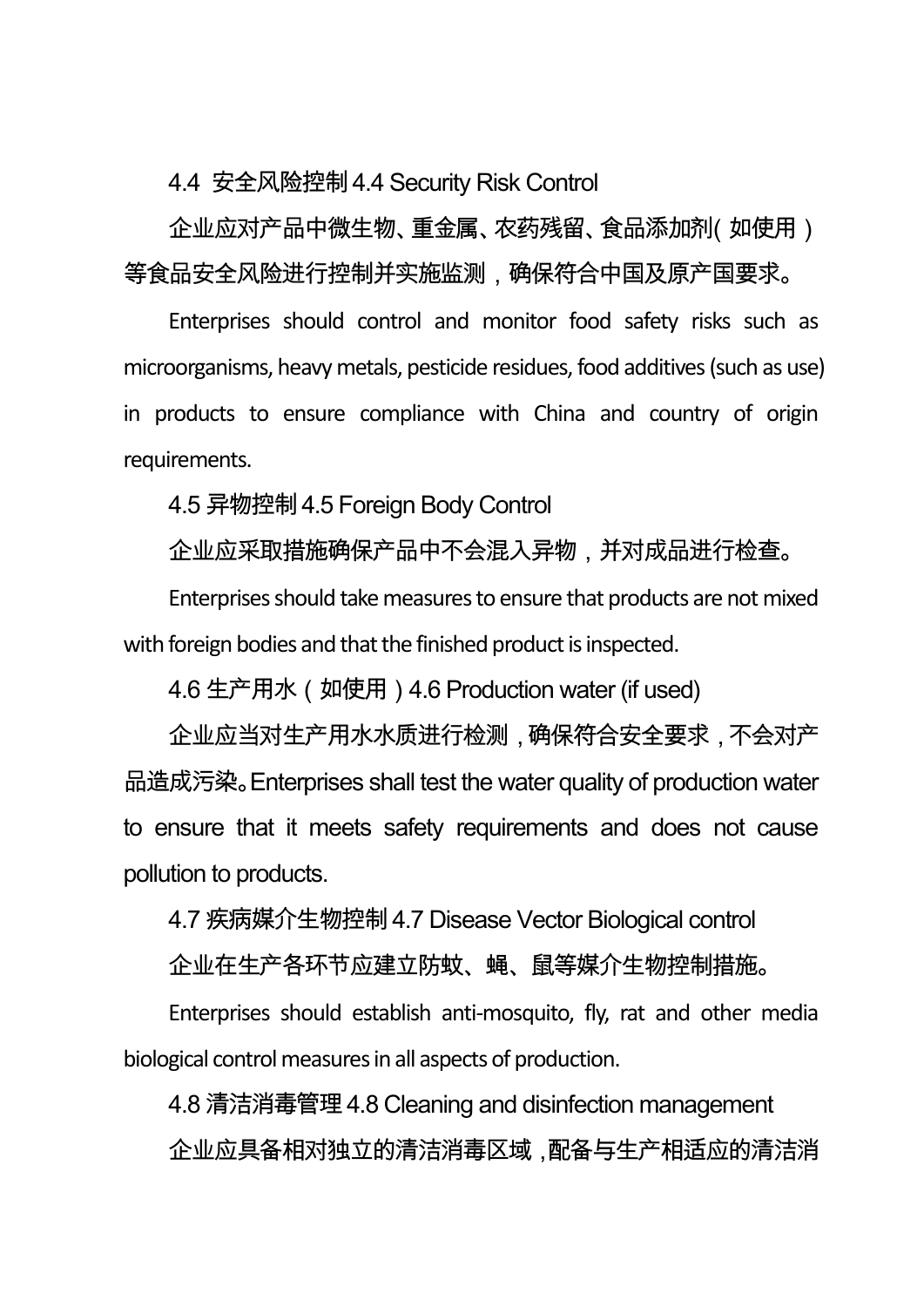4.4 安全风险控制4.4 Security Risk Control

企业应对产品中微生物、重金属、农药残留、食品添加剂(如使用) 等食品安全风险进行控制并实施监测,确保符合中国及原产国要求。

Enterprises should control and monitor food safety risks such as microorganisms, heavy metals, pesticide residues, food additives (such as use) in products to ensure compliance with China and country of origin requirements.

4.5 异物控制4.5 Foreign Body Control

企业应采取措施确保产品中不会混入异物,并对成品进行检查。

Enterprises should take measures to ensure that products are not mixed with foreign bodies and that the finished product is inspected.

4.6 生产用水 (如使用) 4.6 Production water (if used)

企业应当对生产用水水质进行检测,确保符合安全要求,不会对产 品造成污染。Enterprises shall test the water quality of production water to ensure that it meets safety requirements and does not cause pollution to products.

4.7 疾病媒介生物控制4.7 Disease Vector Biological control

企业在生产各环节应建立防蚊、蝇、鼠等媒介生物控制措施。

Enterprises should establish anti-mosquito, fly, rat and other media biological control measures in all aspects of production.

4.8 清洁消毒管理4.8 Cleaning and disinfection management 企业应具备相对独立的清洁消毒区域,配备与生产相适应的清洁消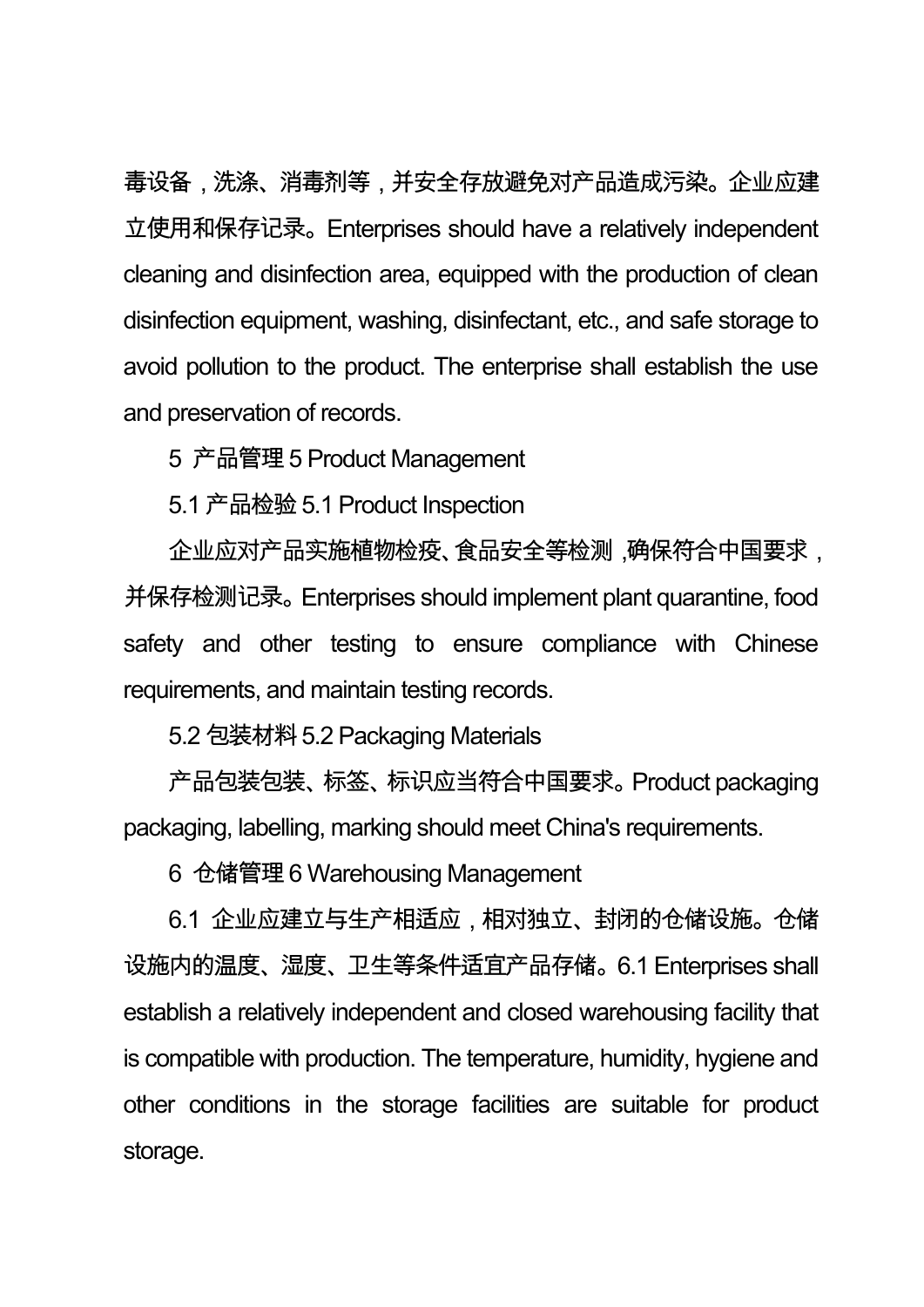毒设备,洗涤、消毒剂等,并安全存放避免对产品造成污染。企业应建 立使用和保存记录。Enterprises should have a relatively independent cleaning and disinfection area, equipped with the production of clean disinfection equipment, washing, disinfectant, etc., and safe storage to avoid pollution to the product. The enterprise shall establish the use and preservation of records.

5 产品管理5 Product Management

5.1 产品检验 5.1 Product Inspection

企业应对产品实施植物检疫、食品安全等检测,确保符合中国要求, 并保存检测记录。Enterprises should implement plant quarantine, food safety and other testing to ensure compliance with Chinese requirements, and maintain testing records.

5.2 包装材料5.2 Packaging Materials

产品包装包装、标签、标识应当符合中国要求。Product packaging packaging, labelling, marking should meet China's requirements.

6 仓储管理6 Warehousing Management

6.1 企业应建立与生产相适应,相对独立、封闭的仓储设施。仓储 设施内的温度、湿度、卫生等条件适宜产品存储。6.1 Enterprises shall establish a relatively independent and closed warehousing facility that is compatible with production. The temperature, humidity, hygiene and other conditions in the storage facilities are suitable for product storage.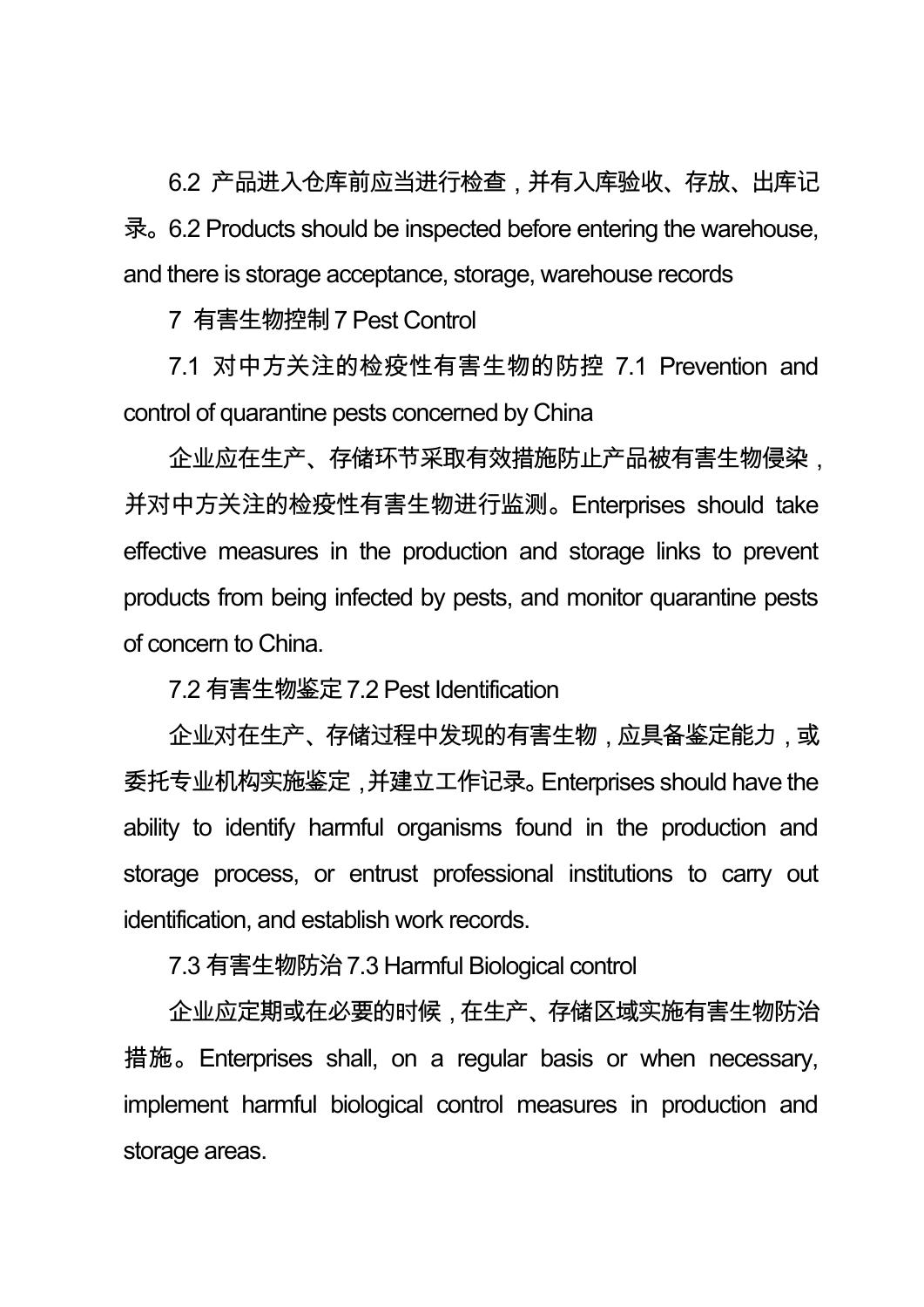6.2 产品进入仓库前应当进行检查,并有入库验收、存放、出库记 录。6.2 Products should be inspected before entering the warehouse, and there is storage acceptance, storage, warehouse records

7 有害生物控制7 Pest Control

7.1 对中方关注的检疫性有害生物的防控 7.1 Prevention and control of quarantine pests concerned by China

企业应在生产、存储环节采取有效措施防止产品被有害生物侵染, 并对中方关注的检疫性有害生物进行监测。Enterprises should take effective measures in the production and storage links to prevent products from being infected by pests, and monitor quarantine pests of concern to China.

7.2 有害生物鉴定7.2 Pest Identification

企业对在生产、存储过程中发现的有害生物,应具备鉴定能力,或 委托专业机构实施鉴定,并建立工作记录。Enterprises should have the ability to identify harmful organisms found in the production and storage process, or entrust professional institutions to carry out identification, and establish work records.

7.3 有害生物防治7.3 Harmful Biological control

企业应定期或在必要的时候,在生产、存储区域实施有害生物防治 措施。Enterprises shall, on a regular basis or when necessary, implement harmful biological control measures in production and storage areas.